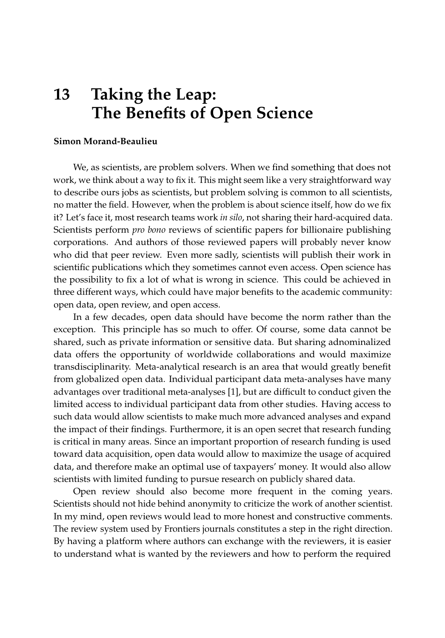## **13 Taking the Leap: The Benefits of Open Science**

## **Simon Morand-Beaulieu**

We, as scientists, are problem solvers. When we find something that does not work, we think about a way to fix it. This might seem like a very straightforward way to describe ours jobs as scientists, but problem solving is common to all scientists, no matter the field. However, when the problem is about science itself, how do we fix it? Let's face it, most research teams work *in silo*, not sharing their hard-acquired data. Scientists perform *pro bono* reviews of scientific papers for billionaire publishing corporations. And authors of those reviewed papers will probably never know who did that peer review. Even more sadly, scientists will publish their work in scientific publications which they sometimes cannot even access. Open science has the possibility to fix a lot of what is wrong in science. This could be achieved in three different ways, which could have major benefits to the academic community: open data, open review, and open access.

In a few decades, open data should have become the norm rather than the exception. This principle has so much to offer. Of course, some data cannot be shared, such as private information or sensitive data. But sharing adnominalized data offers the opportunity of worldwide collaborations and would maximize transdisciplinarity. Meta-analytical research is an area that would greatly benefit from globalized open data. Individual participant data meta-analyses have many advantages over traditional meta-analyses [\[1\]](#page-2-0), but are difficult to conduct given the limited access to individual participant data from other studies. Having access to such data would allow scientists to make much more advanced analyses and expand the impact of their findings. Furthermore, it is an open secret that research funding is critical in many areas. Since an important proportion of research funding is used toward data acquisition, open data would allow to maximize the usage of acquired data, and therefore make an optimal use of taxpayers' money. It would also allow scientists with limited funding to pursue research on publicly shared data.

Open review should also become more frequent in the coming years. Scientists should not hide behind anonymity to criticize the work of another scientist. In my mind, open reviews would lead to more honest and constructive comments. The review system used by Frontiers journals constitutes a step in the right direction. By having a platform where authors can exchange with the reviewers, it is easier to understand what is wanted by the reviewers and how to perform the required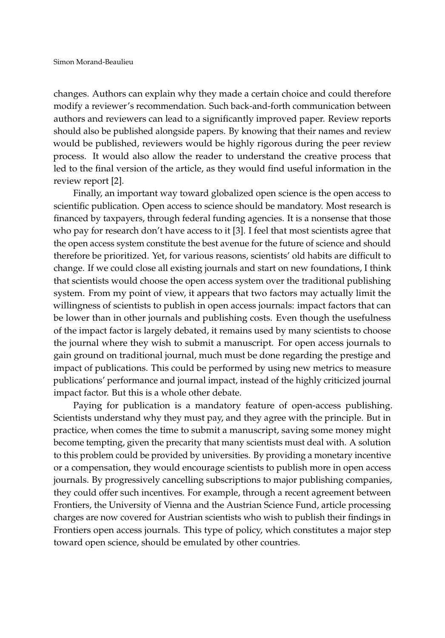changes. Authors can explain why they made a certain choice and could therefore modify a reviewer's recommendation. Such back-and-forth communication between authors and reviewers can lead to a significantly improved paper. Review reports should also be published alongside papers. By knowing that their names and review would be published, reviewers would be highly rigorous during the peer review process. It would also allow the reader to understand the creative process that led to the final version of the article, as they would find useful information in the review report [\[2\]](#page-2-1).

Finally, an important way toward globalized open science is the open access to scientific publication. Open access to science should be mandatory. Most research is financed by taxpayers, through federal funding agencies. It is a nonsense that those who pay for research don't have access to it [\[3\]](#page-2-2). I feel that most scientists agree that the open access system constitute the best avenue for the future of science and should therefore be prioritized. Yet, for various reasons, scientists' old habits are difficult to change. If we could close all existing journals and start on new foundations, I think that scientists would choose the open access system over the traditional publishing system. From my point of view, it appears that two factors may actually limit the willingness of scientists to publish in open access journals: impact factors that can be lower than in other journals and publishing costs. Even though the usefulness of the impact factor is largely debated, it remains used by many scientists to choose the journal where they wish to submit a manuscript. For open access journals to gain ground on traditional journal, much must be done regarding the prestige and impact of publications. This could be performed by using new metrics to measure publications' performance and journal impact, instead of the highly criticized journal impact factor. But this is a whole other debate.

Paying for publication is a mandatory feature of open-access publishing. Scientists understand why they must pay, and they agree with the principle. But in practice, when comes the time to submit a manuscript, saving some money might become tempting, given the precarity that many scientists must deal with. A solution to this problem could be provided by universities. By providing a monetary incentive or a compensation, they would encourage scientists to publish more in open access journals. By progressively cancelling subscriptions to major publishing companies, they could offer such incentives. For example, through a recent agreement between Frontiers, the University of Vienna and the Austrian Science Fund, article processing charges are now covered for Austrian scientists who wish to publish their findings in Frontiers open access journals. This type of policy, which constitutes a major step toward open science, should be emulated by other countries.